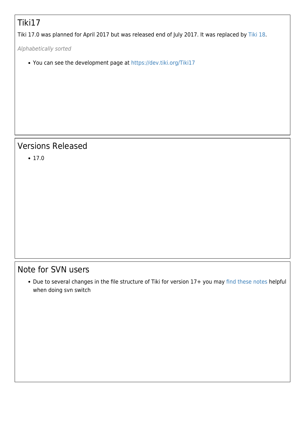## Tiki17

Tiki 17.0 was planned for April 2017 but was released end of July 2017. It was replaced by [Tiki 18](https://doc.tiki.org/Tiki%2018).

Alphabetically sorted

You can see the development page at<https://dev.tiki.org/Tiki17>

#### Versions Released

 $• 17.0$ 

#### Note for SVN users

• Due to several changes in the file structure of Tiki for version 17+ you may [find these notes](https://dev.tiki.org/svn+tips#Important_note_for_switching_between_16.x_and_17.x) helpful when doing svn switch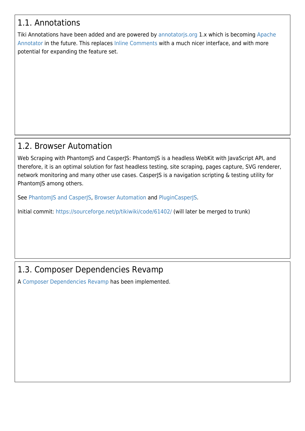### 1.1. Annotations

Tiki Annotations have been added and are powered by [annotatorjs.org](http://annotatorjs.org/) 1.x which is becoming [Apache](https://annotator.apache.org/) [Annotator](https://annotator.apache.org/) in the future. This replaces [Inline Comments](https://doc.tiki.org/Inline-comments) with a much nicer interface, and with more potential for expanding the feature set.

#### 1.2. Browser Automation

Web Scraping with PhantomJS and CasperJS: PhantomJS is a headless WebKit with JavaScript API, and therefore, it is an optimal solution for fast headless testing, site scraping, pages capture, SVG renderer, network monitoring and many other use cases. CasperJS is a navigation scripting & testing utility for PhantomJS among others.

See [PhantomJS and CasperJS](https://doc.tiki.org/PhantomJS-and-CasperJS), [Browser Automation](https://doc.tiki.org/Browser-Automation) and [PluginCasperJS](https://doc.tiki.org/PluginCasperJS).

Initial commit: <https://sourceforge.net/p/tikiwiki/code/61402/>(will later be merged to trunk)

## 1.3. Composer Dependencies Revamp

A [Composer Dependencies Revamp](http://dev.tiki.org/Composer%20Dependencies%20Revamp) has been implemented.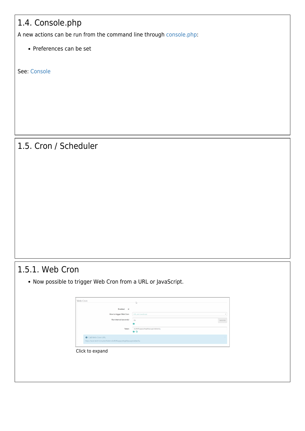## 1.4. Console.php

A new actions can be run from the command line through [console.php](https://doc.tiki.org/Console):

• Preferences can be set

See: [Console](https://doc.tiki.org/Console)

#### 1.5. Cron / Scheduler

#### 1.5.1. Web Cron

Now possible to trigger Web Cron from a URL or JavaScript.

|                                                                   | Enabled @                                          |           |
|-------------------------------------------------------------------|----------------------------------------------------|-----------|
| How to trigger Web Cron                                           | URL and JavaScript                                 | $\ddot{}$ |
| Run interval (seconds)                                            | 60                                                 | seconds   |
|                                                                   | A                                                  |           |
| Token                                                             | dodfbf6499237b99fd9c249074f5ec64<br>C <sub>o</sub> |           |
| <b>O</b> Call Web Cron URL                                        |                                                    |           |
| https://avan.tech/cron.php?token-d0dfbf6499237b99fd9c249074f5ec64 |                                                    |           |
|                                                                   |                                                    |           |
| Click to expand                                                   |                                                    |           |
|                                                                   |                                                    |           |
|                                                                   |                                                    |           |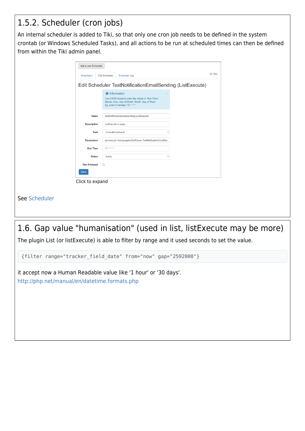## 1.5.2. Scheduler (cron jobs)

An internal scheduler is added to Tiki, so that only one cron job needs to be defined in the system crontab (or Windows Scheduled Tasks), and all actions to be run at scheduled times can then be defined from within the Tiki admin panel.

|                              | <b>O</b> Information<br>Use CRON format to enter the values in "Run Time":<br>Minute, Hour, Day of Month, Month, Day of Week<br>Eg. every 5 minutes: */5 * * * * |  |
|------------------------------|------------------------------------------------------------------------------------------------------------------------------------------------------------------|--|
| <b>Name</b>                  | TestNotificationEmailSending (ListExecute)                                                                                                                       |  |
| <b>Description</b>           | ListExecute in page                                                                                                                                              |  |
| <b>Task</b>                  | ConsoleCommand                                                                                                                                                   |  |
| <b>Parameters</b>            | list:execute HomepageforStaffUsers TestNotificationEmailSer                                                                                                      |  |
| <b>Run Time</b>              | $5/1$ * * * *                                                                                                                                                    |  |
| <b>Status</b>                | Active                                                                                                                                                           |  |
| <b>Run if missed</b><br>Save | $\Box$                                                                                                                                                           |  |
| Click to expand              |                                                                                                                                                                  |  |

## 1.6. Gap value "humanisation" (used in list, listExecute may be more)

The plugin List (or listExecute) is able to filter by range and it used seconds to set the value.

{filter range="tracker\_field\_date" from="now" gap="2592000"}

it accept now a Human Readable value like '1 hour' or '30 days'. <http://php.net/manual/en/datetime.formats.php>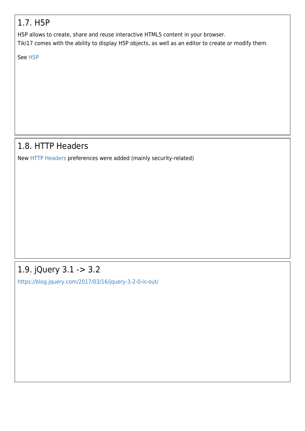### 1.7. H5P

H5P allows to create, share and reuse interactive HTML5 content in your browser.

Tiki17 comes with the ability to display H5P objects, as well as an editor to create or modify them.

See [H5P](https://doc.tiki.org/H5P)

## 1.8. HTTP Headers

New [HTTP Headers](https://doc.tiki.org/HTTP-Headers) preferences were added (mainly security-related)

# 1.9. jQuery 3.1 -> 3.2

<https://blog.jquery.com/2017/03/16/jquery-3-2-0-is-out/>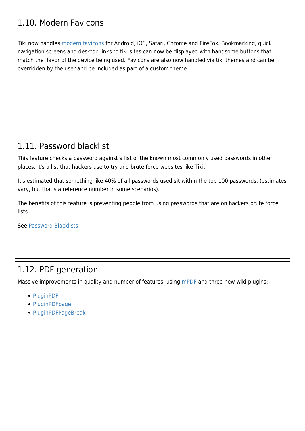#### 1.10. Modern Favicons

Tiki now handles [modern favicons](https://doc.tiki.org/Favicon) for Android, iOS, Safari, Chrome and FireFox. Bookmarking, quick navigation screens and desktop links to tiki sites can now be displayed with handsome buttons that match the flavor of the device being used. Favicons are also now handled via tiki themes and can be overridden by the user and be included as part of a custom theme.

#### 1.11. Password blacklist

This feature checks a password against a list of the known most commonly used passwords in other places. It's a list that hackers use to try and brute force websites like Tiki.

It's estimated that something like 40% of all passwords used sit within the top 100 passwords. (estimates vary, but that's a reference number in some scenarios).

The benefits of this feature is preventing people from using passwords that are on hackers brute force lists.

See [Password Blacklists](https://doc.tiki.org/Password-Blacklists)

#### 1.12. PDF generation

Massive improvements in quality and number of features, using [mPDF](https://doc.tiki.org/mPDF) and three new wiki plugins:

- [PluginPDF](https://doc.tiki.org/PluginPDF)
- [PluginPDFpage](https://doc.tiki.org/PluginPDFpage)
- [PluginPDFPageBreak](https://doc.tiki.org/PluginPDFPageBreak)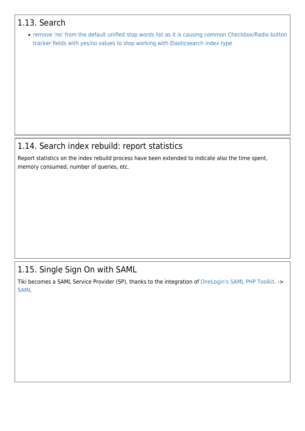#### 1.13. Search

[remove 'no' from the default unified stop words list as it is causing common Checkbox/Radio button](https://sourceforge.net/p/tikiwiki/code/61295/) [tracker fields with yes/no values to stop working with Elasticsearch index type](https://sourceforge.net/p/tikiwiki/code/61295/)

#### 1.14. Search index rebuild: report statistics

Report statistics on the index rebuild process have been extended to indicate also the time spent, memory consumed, number of queries, etc.

#### 1.15. Single Sign On with SAML

Tiki becomes a SAML Service Provider (SP), thanks to the integration of [OneLogin's SAML PHP Toolkit.](https://github.com/onelogin/php-saml) -> [SAML](https://doc.tiki.org/SAML)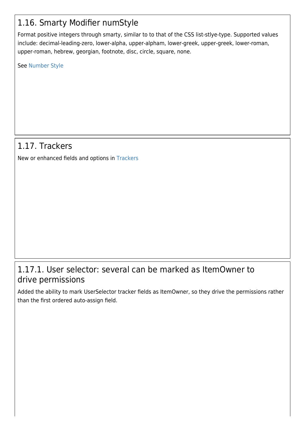## 1.16. Smarty Modifier numStyle

Format positive integers through smarty, similar to to that of the CSS list-stlye-type. Supported values include: decimal-leading-zero, lower-alpha, upper-alpham, lower-greek, upper-greek, lower-roman, upper-roman, hebrew, georgian, footnote, disc, circle, square, none.

See [Number Style](https://doc.tiki.org/Number-Style)

#### 1.17. Trackers

New or enhanced fields and options in [Trackers](https://doc.tiki.org/Trackers)

#### 1.17.1. User selector: several can be marked as ItemOwner to drive permissions

Added the ability to mark UserSelector tracker fields as ItemOwner, so they drive the permissions rather than the first ordered auto-assign field.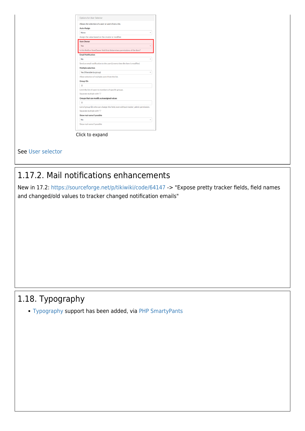|                   | Allows the selection of a user or users from a list.                                |
|-------------------|-------------------------------------------------------------------------------------|
| Auto-Assign       |                                                                                     |
| None              |                                                                                     |
|                   | Assign the value based on the creator or modifier.                                  |
| <b>Item Owner</b> |                                                                                     |
| Yes               |                                                                                     |
|                   | Is this field an ItemOwner field that determines permissions of the item?           |
|                   | <b>Email Notification</b>                                                           |
| <b>No</b>         |                                                                                     |
|                   | Send an email notification to the user(s) every time the item is modified.          |
|                   | Multiple selection                                                                  |
|                   | Yes (filterable by group)                                                           |
|                   | Allow selection of multiple users from the list.                                    |
| Group IDs         |                                                                                     |
| $\Omega$          |                                                                                     |
|                   | Limit the list of users to members of specific groups.                              |
|                   | Separate multiple with "I"                                                          |
|                   | Groups that can modify autoassigned values                                          |
| $\Omega$          |                                                                                     |
|                   | List of group IDs who can change this field, even without tracker_admin permission. |
|                   | Separate multiple with " "                                                          |
|                   | Show real name if possible                                                          |
| No                |                                                                                     |
|                   | Show real name if possible                                                          |

See [User selector](https://doc.tiki.org/User-selector)

#### 1.17.2. Mail notifications enhancements

New in 17.2: <https://sourceforge.net/p/tikiwiki/code/64147> -> "Expose pretty tracker fields, field names and changed/old values to tracker changed notification emails"

## 1.18. Typography

[Typography](https://doc.tiki.org/Typography) support has been added, via [PHP SmartyPants](https://github.com/michelf/php-smartypants)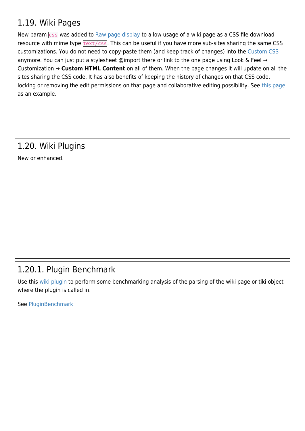#### 1.19. Wiki Pages

New param css was added to [Raw page display](https://doc.tiki.org/Raw-page-display) to allow usage of a wiki page as a CSS file download resource with mime type  $text{text/css}$ . This can be useful if you have more sub-sites sharing the same CSS customizations. You do not need to copy-paste them (and keep track of changes) into the [Custom CSS](https://doc.tiki.org/Custom-CSS) anymore. You can just put a stylesheet @import there or link to the one page using Look & Feel → Customization → **Custom HTML Content** on all of them. When the page changes it will update on all the sites sharing the CSS code. It has also benefits of keeping the history of changes on that CSS code, locking or removing the edit permissions on that page and collaborative editing possibility. See [this page](http://themes.tiki.org/Tiki_org_family_customizations_CSS) as an example.

# 1.20. Wiki Plugins

New or enhanced.

## 1.20.1. Plugin Benchmark

Use this [wiki plugin](https://doc.tiki.org/wiki%20plugin) to perform some benchmarking analysis of the parsing of the wiki page or tiki object where the plugin is called in.

See [PluginBenchmark](https://doc.tiki.org/PluginBenchmark)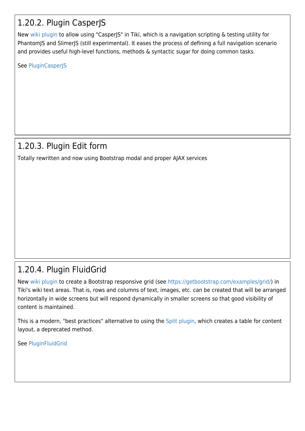## 1.20.2. Plugin CasperJS

New [wiki plugin](https://doc.tiki.org/wiki%20plugin) to allow using "CasperJS" in Tiki, which is a navigation scripting & testing utility for PhantomJS and SlimerJS (still experimental). It eases the process of defining a full navigation scenario and provides useful high-level functions, methods & syntactic sugar for doing common tasks.

See [PluginCasperJS](https://doc.tiki.org/PluginCasperJS)

### 1.20.3. Plugin Edit form

Totally rewritten and now using Bootstrap modal and proper AJAX services

## 1.20.4. Plugin FluidGrid

New [wiki plugin](https://doc.tiki.org/wiki%20plugin) to create a Bootstrap responsive grid (see [https://getbootstrap.com/examples/grid/\)](https://getbootstrap.com/examples/grid/) in Tiki's wiki text areas. That is, rows and columns of text, images, etc. can be created that will be arranged horizontally in wide screens but will respond dynamically in smaller screens so that good visibility of content is maintained.

This is a modern, "best practices" alternative to using the [Split plugin,](https://doc.tiki.org/PluginSplit) which creates a table for content layout, a deprecated method.

See [PluginFluidGrid](https://doc.tiki.org/PluginFluidgrid)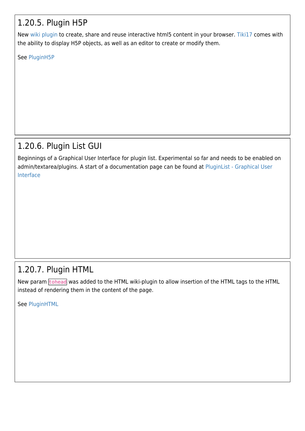## 1.20.5. Plugin H5P

New [wiki plugin](https://doc.tiki.org/wiki%20plugin) to create, share and reuse interactive html5 content in your browser. [Tiki17](https://doc.tiki.org/Tiki17) comes with the ability to display H5P objects, as well as an editor to create or modify them.

See [PluginH5P](https://doc.tiki.org/PluginH5P)

## 1.20.6. Plugin List GUI

Beginnings of a Graphical User Interface for plugin list. Experimental so far and needs to be enabled on admin/textarea/plugins. A start of a documentation page can be found at [PluginList - Graphical User](https://doc.tiki.org/PluginList---Graphical-User-Interface) [Interface](https://doc.tiki.org/PluginList---Graphical-User-Interface)

## 1.20.7. Plugin HTML

New param tohead was added to the HTML wiki-plugin to allow insertion of the HTML tags to the HTML instead of rendering them in the content of the page.

See [PluginHTML](https://doc.tiki.org/PluginHTML)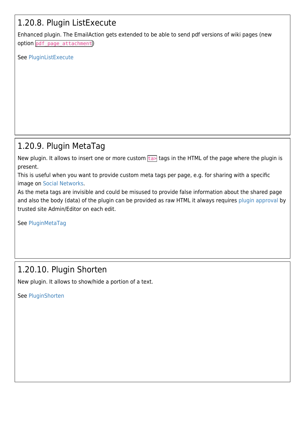## 1.20.8. Plugin ListExecute

Enhanced plugin. The EmailAction gets extended to be able to send pdf versions of wiki pages (new option pdf page attachment)

See [PluginListExecute](https://doc.tiki.org/PluginListExecute)

## 1.20.9. Plugin MetaTag

New plugin. It allows to insert one or more custom  $\frac{1}{2}$  tags in the HTML of the page where the plugin is present.

This is useful when you want to provide custom meta tags per page, e.g. for sharing with a specific image on [Social Networks.](https://doc.tiki.org/Social-Networks)

As the meta tags are invisible and could be misused to provide false information about the shared page and also the body (data) of the plugin can be provided as raw HTML it always requires [plugin approval](https://doc.tiki.org/Plugin-Approval) by trusted site Admin/Editor on each edit.

See [PluginMetaTag](https://doc.tiki.org/PluginMetaTag)

## 1.20.10. Plugin Shorten

New plugin. It allows to show/hide a portion of a text.

See [PluginShorten](https://doc.tiki.org/PluginShorten)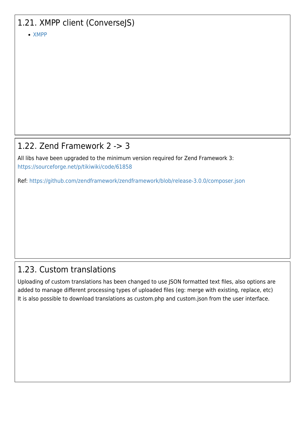## 1.21. XMPP client (ConverseJS)

[XMPP](https://doc.tiki.org/XMPP)

## 1.22. Zend Framework 2 -> 3

All libs have been upgraded to the minimum version required for Zend Framework 3: <https://sourceforge.net/p/tikiwiki/code/61858>

Ref:<https://github.com/zendframework/zendframework/blob/release-3.0.0/composer.json>

## 1.23. Custom translations

Uploading of custom translations has been changed to use JSON formatted text files, also options are added to manage different processing types of uploaded files (eg: merge with existing, replace, etc) It is also possible to download translations as custom.php and custom.json from the user interface.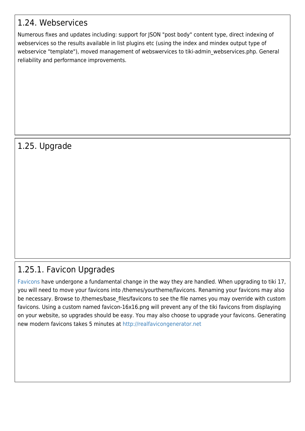#### 1.24. Webservices

Numerous fixes and updates including: support for JSON "post body" content type, direct indexing of webservices so the results available in list plugins etc (using the index and mindex output type of webservice "template"), moved management of webswervices to tiki-admin webservices.php. General reliability and performance improvements.

## 1.25. Upgrade

# 1.25.1. Favicon Upgrades

[Favicons](https://doc.tiki.org/Favicon) have undergone a fundamental change in the way they are handled. When upgrading to tiki 17, you will need to move your favicons into /themes/yourtheme/favicons. Renaming your favicons may also be necessary. Browse to /themes/base\_files/favicons to see the file names you may override with custom favicons. Using a custom named favicon-16x16.png will prevent any of the tiki favicons from displaying on your website, so upgrades should be easy. You may also choose to upgrade your favicons. Generating new modern favicons takes 5 minutes at <http://realfavicongenerator.net>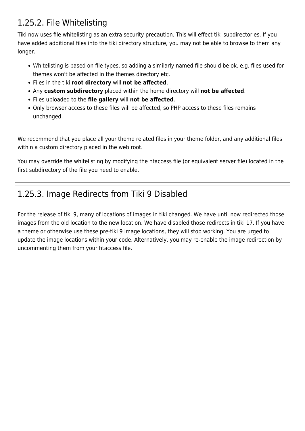## 1.25.2. File Whitelisting

Tiki now uses file whitelisting as an extra security precaution. This will effect tiki subdirectories. If you have added additional files into the tiki directory structure, you may not be able to browse to them any longer.

- Whitelisting is based on file types, so adding a similarly named file should be ok. e.g. files used for themes won't be affected in the themes directory etc.
- Files in the tiki **root directory** will **not be affected**.
- Any **custom subdirectory** placed within the home directory will **not be affected**.
- Files uploaded to the **file gallery** will **not be affected**.
- Only browser access to these files will be affected, so PHP access to these files remains unchanged.

We recommend that you place all your theme related files in your theme folder, and any additional files within a custom directory placed in the web root.

You may override the whitelisting by modifying the htaccess file (or equivalent server file) located in the first subdirectory of the file you need to enable.

## 1.25.3. Image Redirects from Tiki 9 Disabled

For the release of tiki 9, many of locations of images in tiki changed. We have until now redirected those images from the old location to the new location. We have disabled those redirects in tiki 17. If you have a theme or otherwise use these pre-tiki 9 image locations, they will stop working. You are urged to update the image locations within your code. Alternatively, you may re-enable the image redirection by uncommenting them from your htaccess file.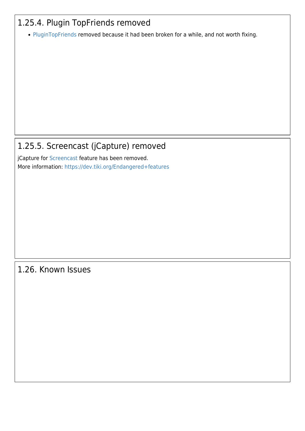## 1.25.4. Plugin TopFriends removed

• [PluginTopFriends](https://doc.tiki.org/PluginTopfriends) removed because it had been broken for a while, and not worth fixing.

### 1.25.5. Screencast (jCapture) removed

jCapture for [Screencast](https://doc.tiki.org/Screencast) feature has been removed. More information:<https://dev.tiki.org/Endangered+features>

#### 1.26. Known Issues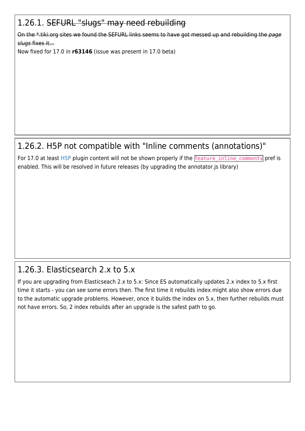## 1.26.1. SEFURL "slugs" may need rebuilding

On the \*.tiki.org sites we found the SEFURL links seems to have got messed up and rebuilding the page slugs fixes it...

Now fixed for 17.0 in **r63146** (issue was present in 17.0 beta)

## 1.26.2. H5P not compatible with "Inline comments (annotations)"

For 17.0 at least [H5P](https://doc.tiki.org/H5P) plugin content will not be shown properly if the **feature** inline comments pref is enabled. This will be resolved in future releases (by upgrading the annotator.js library)

## 1.26.3. Elasticsearch 2.x to 5.x

If you are upgrading from Elasticseach 2.x to 5.x: Since ES automatically updates 2.x index to 5.x first time it starts - you can see some errors then. The first time it rebuilds index might also show errors due to the automatic upgrade problems. However, once it builds the index on 5.x, then further rebuilds must not have errors. So, 2 index rebuilds after an upgrade is the safest path to go.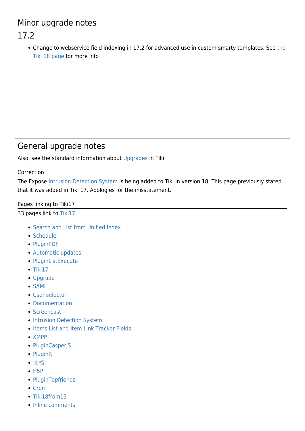# Minor upgrade notes

## 17.2

Change to webservice field indexing in 17.2 for advanced use in custom smarty templates. See [the](https://doc.tiki.org/Tiki18#Minor_change_to_Webservices_Field_with_elasticsearch) [Tiki 18 page](https://doc.tiki.org/Tiki18#Minor_change_to_Webservices_Field_with_elasticsearch) for more info

#### General upgrade notes

Also, see the standard information about [Upgrades](https://doc.tiki.org/Upgrade) in Tiki.

Correction

The Expose [Intrusion Detection System](https://doc.tiki.org/Intrusion-Detection-System) is being added to Tiki in version 18. This page previously stated that it was added in Tiki 17. Apologies for the misstatement.

Pages linking to Tiki17

33 pages link to [Tiki17](https://doc.tiki.org/Tiki17)

- [Search and List from Unified Index](https://doc.tiki.org/Search-and-List-from-Unified-Index)
- [Scheduler](https://doc.tiki.org/Scheduler)
- [PluginPDF](https://doc.tiki.org/PluginPDF)
- [Automatic updates](https://doc.tiki.org/Automatic-updates)
- [PluginListExecute](https://doc.tiki.org/PluginListExecute)
- $\bullet$  [Tiki17](https://doc.tiki.org/Tiki17)
- [Upgrade](https://doc.tiki.org/Upgrade)
- [SAML](https://doc.tiki.org/SAML)
- [User selector](https://doc.tiki.org/User-selector)
- [Documentation](https://doc.tiki.org/Documentation)
- [Screencast](https://doc.tiki.org/Screencast)
- [Intrusion Detection System](https://doc.tiki.org/Intrusion-Detection-System)
- [Items List and Item Link Tracker Fields](https://doc.tiki.org/Items-List-and-Item-Link-Tracker-Fields)
- [XMPP](https://doc.tiki.org/XMPP)
- [PluginCasperJS](https://doc.tiki.org/PluginCasperJS)
- [PluginR](https://doc.tiki.org/PluginR)
- [文档](https://doc.tiki.org/%E6%96%87%E6%A1%A3)
- $-H5P$  $-H5P$
- [PluginTopfriends](https://doc.tiki.org/PluginTopfriends)
- [Cron](https://doc.tiki.org/Cron)
- [Tiki18from15](https://doc.tiki.org/Tiki18from15)
- [Inline comments](https://doc.tiki.org/Inline-comments)